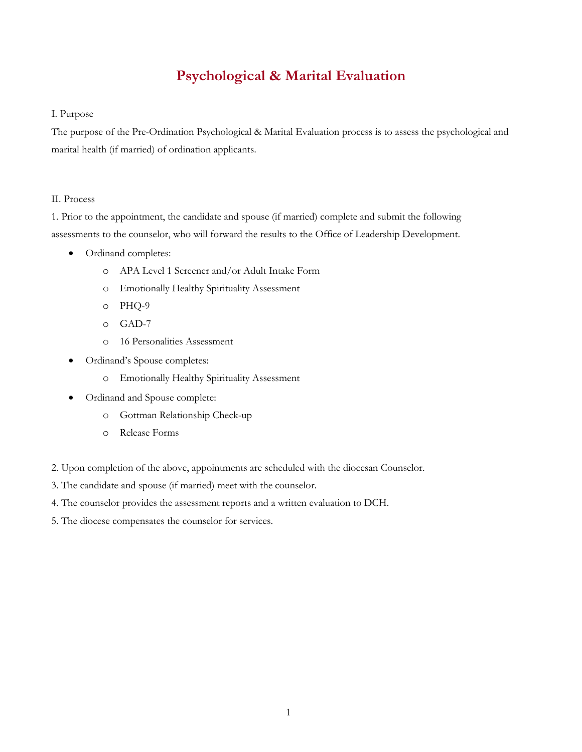## **Psychological & Marital Evaluation**

## I. Purpose

The purpose of the Pre-Ordination Psychological & Marital Evaluation process is to assess the psychological and marital health (if married) of ordination applicants.

## II. Process

1. Prior to the appointment, the candidate and spouse (if married) complete and submit the following assessments to the counselor, who will forward the results to the Office of Leadership Development.

- Ordinand completes:
	- o APA Level 1 Screener and/or Adult Intake Form
	- o Emotionally Healthy Spirituality Assessment
	- o PHQ-9
	- o GAD-7
	- o 16 Personalities Assessment
- Ordinand's Spouse completes:
	- o Emotionally Healthy Spirituality Assessment
- Ordinand and Spouse complete:
	- o Gottman Relationship Check-up
	- o Release Forms
- 2. Upon completion of the above, appointments are scheduled with the diocesan Counselor.
- 3. The candidate and spouse (if married) meet with the counselor.
- 4. The counselor provides the assessment reports and a written evaluation to DCH.
- 5. The diocese compensates the counselor for services.